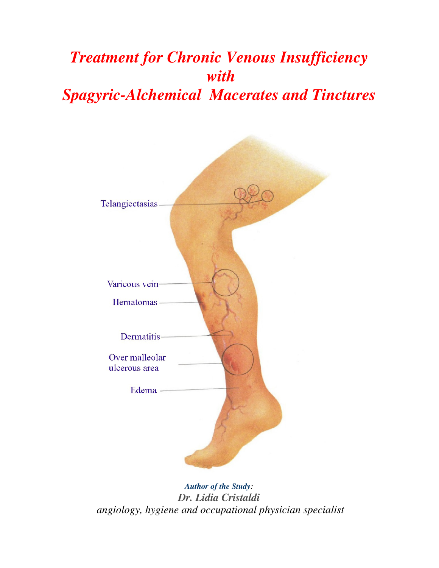# *Treatment for Chronic Venous Insufficiency with Spagyric-Alchemical Macerates and Tinctures*



*Author of the Study: Dr. Lidia Cristaldi angiology, hygiene and occupational physician specialist*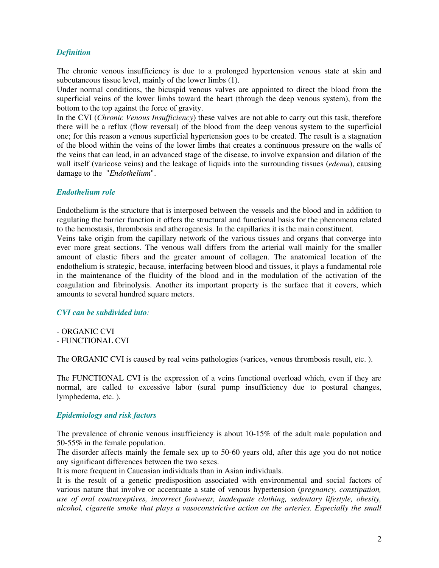#### *Definition*

The chronic venous insufficiency is due to a prolonged hypertension venous state at skin and subcutaneous tissue level, mainly of the lower limbs (1).

Under normal conditions, the bicuspid venous valves are appointed to direct the blood from the superficial veins of the lower limbs toward the heart (through the deep venous system), from the bottom to the top against the force of gravity.

In the CVI (*Chronic Venous Insufficiency*) these valves are not able to carry out this task, therefore there will be a reflux (flow reversal) of the blood from the deep venous system to the superficial one; for this reason a venous superficial hypertension goes to be created. The result is a stagnation of the blood within the veins of the lower limbs that creates a continuous pressure on the walls of the veins that can lead, in an advanced stage of the disease, to involve expansion and dilation of the wall itself (varicose veins) and the leakage of liquids into the surrounding tissues (*edema*), causing damage to the "*Endothelium*".

#### *Endothelium role*

Endothelium is the structure that is interposed between the vessels and the blood and in addition to regulating the barrier function it offers the structural and functional basis for the phenomena related to the hemostasis, thrombosis and atherogenesis. In the capillaries it is the main constituent.

Veins take origin from the capillary network of the various tissues and organs that converge into ever more great sections. The venous wall differs from the arterial wall mainly for the smaller amount of elastic fibers and the greater amount of collagen. The anatomical location of the endothelium is strategic, because, interfacing between blood and tissues, it plays a fundamental role in the maintenance of the fluidity of the blood and in the modulation of the activation of the coagulation and fibrinolysis. Another its important property is the surface that it covers, which amounts to several hundred square meters.

#### *CVI can be subdivided into:*

- ORGANIC CVI
- FUNCTIONAL CVI

The ORGANIC CVI is caused by real veins pathologies (varices, venous thrombosis result, etc. ).

The FUNCTIONAL CVI is the expression of a veins functional overload which, even if they are normal, are called to excessive labor (sural pump insufficiency due to postural changes, lymphedema, etc. ).

#### *Epidemiology and risk factors*

The prevalence of chronic venous insufficiency is about 10-15% of the adult male population and 50-55% in the female population.

The disorder affects mainly the female sex up to 50-60 years old, after this age you do not notice any significant differences between the two sexes.

It is more frequent in Caucasian individuals than in Asian individuals.

It is the result of a genetic predisposition associated with environmental and social factors of various nature that involve or accentuate a state of venous hypertension (*pregnancy, constipation, use of oral contraceptives, incorrect footwear, inadequate clothing, sedentary lifestyle, obesity, alcohol, cigarette smoke that plays a vasoconstrictive action on the arteries. Especially the small*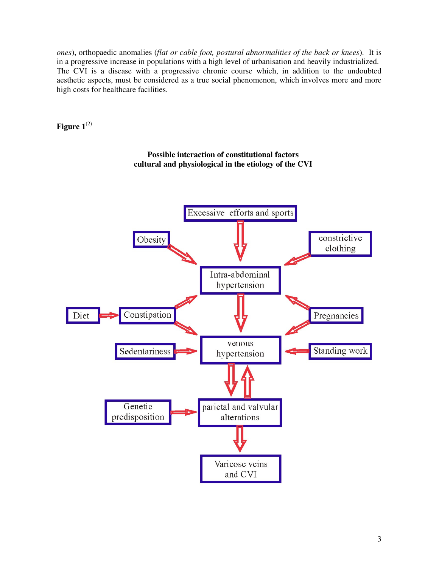*ones*), orthopaedic anomalies (*flat or cable foot, postural abnormalities of the back or knees*). It is in a progressive increase in populations with a high level of urbanisation and heavily industrialized. The CVI is a disease with a progressive chronic course which, in addition to the undoubted aesthetic aspects, must be considered as a true social phenomenon, which involves more and more high costs for healthcare facilities.

Figure  $1^{(2)}$ 



 **Possible interaction of constitutional factors cultural and physiological in the etiology of the CVI**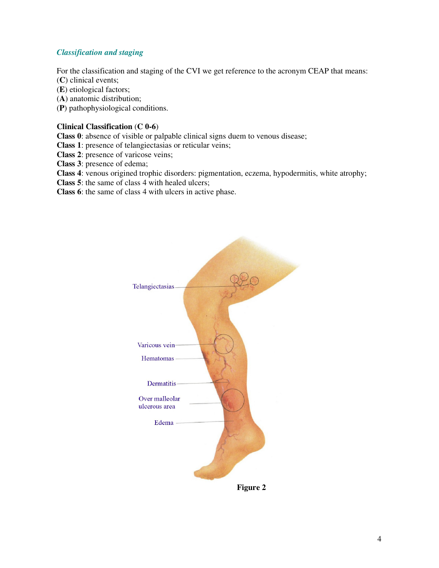#### *Classification and staging*

For the classification and staging of the CVI we get reference to the acronym CEAP that means:

(**C**) clinical events;

(**E**) etiological factors;

(**A**) anatomic distribution;

(**P**) pathophysiological conditions.

#### **Clinical Classification** (**C 0-6**)

**Class 0**: absence of visible or palpable clinical signs duem to venous disease;

**Class 1**: presence of telangiectasias or reticular veins;

**Class 2**: presence of varicose veins;

**Class 3**: presence of edema;

**Class 4**: venous origined trophic disorders: pigmentation, eczema, hypodermitis, white atrophy;

**Class 5**: the same of class 4 with healed ulcers;

**Class 6**: the same of class 4 with ulcers in active phase.



 **Figure 2**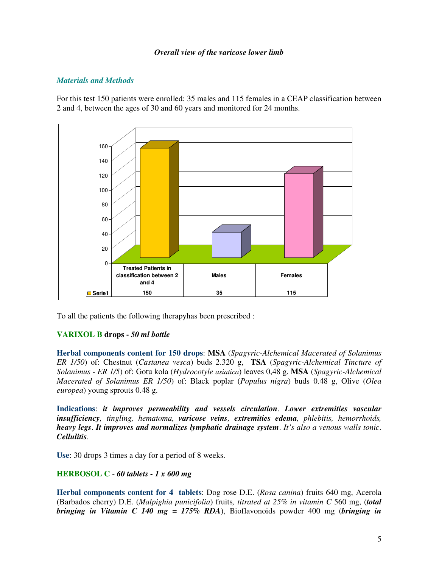#### *Overall view of the varicose lower limb*

#### *Materials and Methods*

For this test 150 patients were enrolled: 35 males and 115 females in a CEAP classification between 2 and 4, between the ages of 30 and 60 years and monitored for 24 months.



To all the patients the following therapyhas been prescribed :

#### **VARIXOL B drops -** *50 ml bottle*

**Herbal components content for 150 drops**: **MSA** (*Spagyric-Alchemical Macerated of Solanimus ER 1/50*) of: Chestnut (*Castanea vesca*) buds 2.320 g, **TSA** (*Spagyric-Alchemical Tincture of Solanimus - ER 1/5*) of: Gotu kola (*Hydrocotyle asiatica*) leaves 0,48 g. **MSA** (*Spagyric-Alchemical Macerated of Solanimus ER 1/50*) of: Black poplar (*Populus nigra*) buds 0.48 g, Olive (*Olea europea*) young sprouts 0.48 g.

**Indications**: *it improves permeability and vessels circulation*. *Lower extremities vascular insufficiency, tingling, hematoma, varicose veins, extremities edema, phlebitis, hemorrhoids, heavy legs*. *It improves and normalizes lymphatic drainage system*. *It's also a venous walls tonic*. *Cellulitis*.

**Use**: 30 drops 3 times a day for a period of 8 weeks.

#### **HERBOSOL C** - *60 tablets - 1 x 600 mg*

**Herbal components content for 4 tablets**: Dog rose D.E. (*Rosa canina*) fruits 640 mg, Acerola (Barbados cherry) D.E. (*Malpighia punicifolia*) fruits*, titrated at 25% in vitamin C* 560 mg, (*total bringing in Vitamin C 140 mg = 175% RDA*), Bioflavonoids powder 400 mg (*bringing in*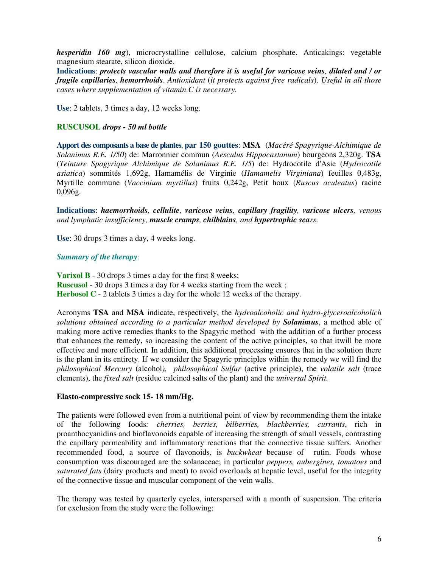*hesperidin 160 mg*), microcrystalline cellulose, calcium phosphate. Anticakings: vegetable magnesium stearate, silicon dioxide.

**Indications**: *protects vascular walls and therefore it is useful for varicose veins, dilated and / or fragile capillaries, hemorrhoids*. *Antioxidant* (*it protects against free radicals*). *Useful in all those cases where supplementation of vitamin C is necessary*.

**Use**: 2 tablets, 3 times a day, 12 weeks long.

#### **RUSCUSOL** *drops - 50 ml bottle*

**Apport des composants a base de plantes**, **par 150 gouttes**: **MSA** (*Macéré Spagyrique-Alchimique de Solanimus R.E. 1/50*) de: Marronnier commun (*Aesculus Hippocastanum*) bourgeons 2,320g. **TSA**  (*Teinture Spagyrique Alchimique de Solanimus R.E. 1/5*) de: Hydrocotile d'Asie (*Hydrocotile asiatica*) sommités 1,692g, Hamamélis de Virginie (*Hamamelis Virginiana*) feuilles 0,483g, Myrtille commune (*Vaccinium myrtillus*) fruits 0,242g, Petit houx (*Ruscus aculeatus*) racine 0,096g.

**Indications**: *haemorrhoids, cellulite, varicose veins, capillary fragility, varicose ulcers, venous and lymphatic insufficiency, muscle cramps, chilblains, and hypertrophic scars*.

**Use**: 30 drops 3 times a day, 4 weeks long.

#### *Summary of the therapy:*

**Varixol B** - 30 drops 3 times a day for the first 8 weeks; **Ruscusol** - 30 drops 3 times a day for 4 weeks starting from the week ; **Herbosol C** - 2 tablets 3 times a day for the whole 12 weeks of the therapy.

Acronyms **TSA** and **MSA** indicate, respectively, the *hydroalcoholic and hydro-glyceroalcoholich solutions obtained according to a particular method developed by Solanimus*, a method able of making more active remedies thanks to the Spagyric method with the addition of a further process that enhances the remedy, so increasing the content of the active principles, so that itwill be more effective and more efficient. In addition, this additional processing ensures that in the solution there is the plant in its entirety. If we consider the Spagyric principles within the remedy we will find the *philosophical Mercury* (alcohol*), philosophical Sulfur* (active principle), the *volatile salt* (trace elements), the *fixed salt* (residue calcined salts of the plant) and the *universal Spirit.* 

#### **Elasto-compressive sock 15- 18 mm/Hg.**

The patients were followed even from a nutritional point of view by recommending them the intake of the following foods*: cherries, berries, bilberries, blackberries, currants*, rich in proanthocyanidins and bioflavonoids capable of increasing the strength of small vessels, contrasting the capillary permeability and inflammatory reactions that the connective tissue suffers. Another recommended food, a source of flavonoids, is *buckwheat* because of rutin. Foods whose consumption was discouraged are the solanaceae; in particular *peppers, aubergines, tomatoes* and *saturated fats* (dairy products and meat) to avoid overloads at hepatic level, useful for the integrity of the connective tissue and muscular component of the vein walls.

The therapy was tested by quarterly cycles, interspersed with a month of suspension. The criteria for exclusion from the study were the following: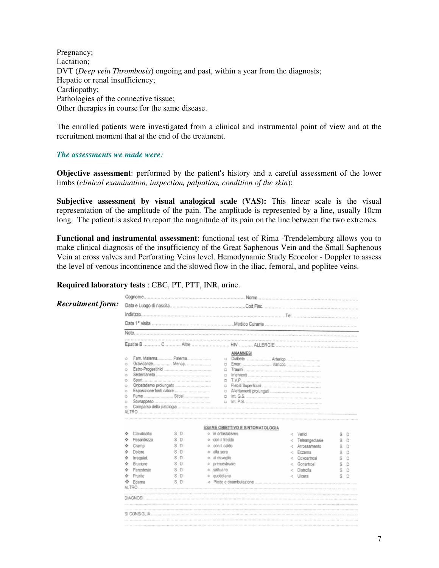Pregnancy; Lactation; DVT (*Deep vein Thrombosis*) ongoing and past, within a year from the diagnosis; Hepatic or renal insufficiency; Cardiopathy; Pathologies of the connective tissue; Other therapies in course for the same disease.

The enrolled patients were investigated from a clinical and instrumental point of view and at the recruitment moment that at the end of the treatment.

#### *The assessments we made were:*

**Objective assessment**: performed by the patient's history and a careful assessment of the lower limbs (*clinical examination, inspection, palpation, condition of the skin*);

**Subjective assessment by visual analogical scale (VAS):** This linear scale is the visual representation of the amplitude of the pain. The amplitude is represented by a line, usually 10cm long. The patient is asked to report the magnitude of its pain on the line between the two extremes.

**Functional and instrumental assessment**: functional test of Rima -Trendelemburg allows you to make clinical diagnosis of the insufficiency of the Great Saphenous Vein and the Small Saphenous Vein at cross valves and Perforating Veins level. Hemodynamic Study Ecocolor - Doppler to assess the level of venous incontinence and the slowed flow in the iliac, femoral, and poplitee veins.

#### **Required laboratory tests** : CBC, PT, PTT, INR, urine.

| <b>Recruitment form:</b> |                                                           |        |    |                                                                                           |   |                |   |   |
|--------------------------|-----------------------------------------------------------|--------|----|-------------------------------------------------------------------------------------------|---|----------------|---|---|
|                          |                                                           |        |    |                                                                                           |   |                |   |   |
|                          |                                                           |        |    |                                                                                           |   |                |   |   |
|                          |                                                           |        |    |                                                                                           |   |                |   |   |
|                          |                                                           |        |    |                                                                                           |   |                |   |   |
|                          | Fam. Materna Paterna<br>ō<br>O<br>$\circ$<br>$\circ$<br>ō |        |    | <b>ANAMNESI</b><br>$\qquad \qquad \Box$<br>$\Box$<br>$\Box$<br>$\Box$<br>$\Box$<br>$\Box$ |   |                |   |   |
|                          | ō                                                         |        |    | $\Box$                                                                                    |   |                |   |   |
|                          | $\circ$                                                   |        |    | $\Box$                                                                                    |   |                |   |   |
|                          | $\circ$<br>$\circ$                                        |        |    |                                                                                           |   |                |   |   |
|                          | <b>ESAME OBIETTIVO E SINTOMATOLOGIA</b>                   |        |    |                                                                                           |   |                |   |   |
|                          | Claudicatio<br>۰                                          | S D    |    | o in orlostatismo                                                                         | a | Varici         |   | D |
|                          | Pesantezza<br>۰                                           |        |    | o con il freddo                                                                           |   | Teleangectasie |   |   |
|                          | Crampi<br>۰                                               |        |    | o con il caldo                                                                            |   | Arrossamento   |   |   |
|                          | Dolore<br>÷                                               |        | O. | alla sera                                                                                 |   | Eczema         |   |   |
|                          | Irrequiet.                                                |        |    | o al risveglio                                                                            |   | Coxoartrosi    |   |   |
|                          | Bruciare<br>۰                                             | s      |    | o premestruale                                                                            |   | Gonartrosi     |   |   |
|                          | Parestesie                                                |        |    | o saltuario                                                                               |   | Distrofia      |   |   |
|                          | Prunito<br>÷                                              | s<br>D |    | o quotidiano                                                                              | a | Ulcera         | S | D |
|                          | ÷.<br>Edema                                               | S D    |    | <1 Piede e deambulazione                                                                  |   |                |   |   |
|                          |                                                           |        |    |                                                                                           |   |                |   |   |
|                          | DIAGNOSI                                                  |        |    |                                                                                           |   |                |   |   |
|                          | SI CONSIGLIA                                              |        |    |                                                                                           |   |                |   |   |
|                          |                                                           |        |    |                                                                                           |   |                |   |   |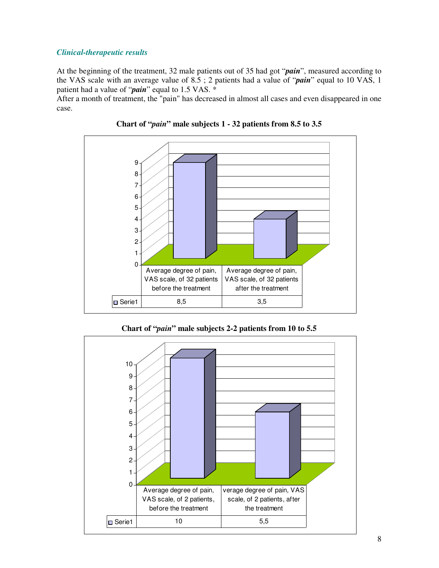#### *Clinical-therapeutic results*

At the beginning of the treatment, 32 male patients out of 35 had got "*pain*", measured according to the VAS scale with an average value of 8.5 ; 2 patients had a value of "*pain*" equal to 10 VAS, 1 patient had a value of "*pain*" equal to 1.5 VAS. \*

After a month of treatment, the "pain" has decreased in almost all cases and even disappeared in one case.



**Chart of "***pain***" male subjects 1 - 32 patients from 8.5 to 3.5** 

**Chart of "***pain***" male subjects 2-2 patients from 10 to 5.5** 

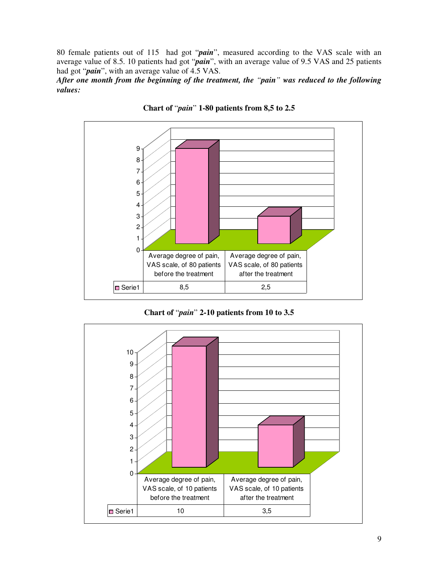80 female patients out of 115 had got "*pain*", measured according to the VAS scale with an average value of 8.5. 10 patients had got "*pain*", with an average value of 9.5 VAS and 25 patients had got "*pain*", with an average value of 4.5 VAS.

*After one month from the beginning of the treatment, the "pain" was reduced to the following values:* 



**Chart of** "*pain*" **1-80 patients from 8,5 to 2.5** 

**Chart of** "*pain*" **2-10 patients from 10 to 3.5** 

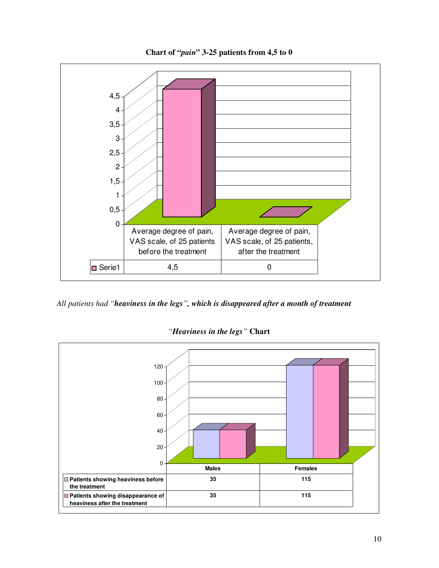**Chart of "***pain***" 3-25 patients from 4,5 to 0** 



*All patients had "heaviness in the legs", which is disappeared after a month of treatment* 



*"Heaviness in the legs"* **Chart**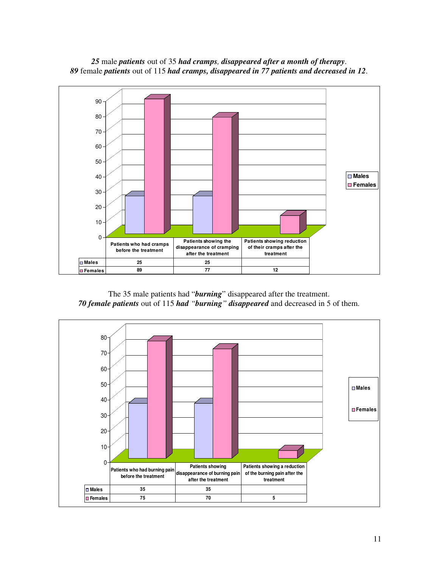

*25* male *patients* out of 35 *had cramps, disappeared after a month of therapy*. *89* female *patients* out of 115 *had cramps, disappeared in 77 patients and decreased in 12*.

The 35 male patients had "*burning*" disappeared after the treatment. *70 female patients* out of 115 *had "burning" disappeared* and decreased in 5 of them.

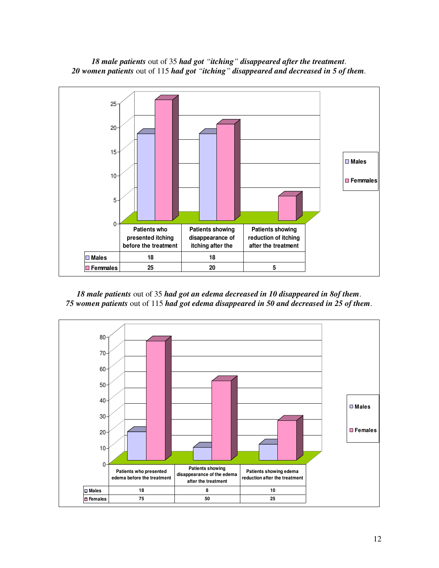

*18 male patients* out of 35 *had got "itching" disappeared after the treatment*. *20 women patients* out of 115 *had got "itching" disappeared and decreased in 5 of them.*

*18 male patients* out of 35 *had got an edema decreased in 10 disappeared in 8of them*. *75 women patients* out of 115 *had got edema disappeared in 50 and decreased in 25 of them*.

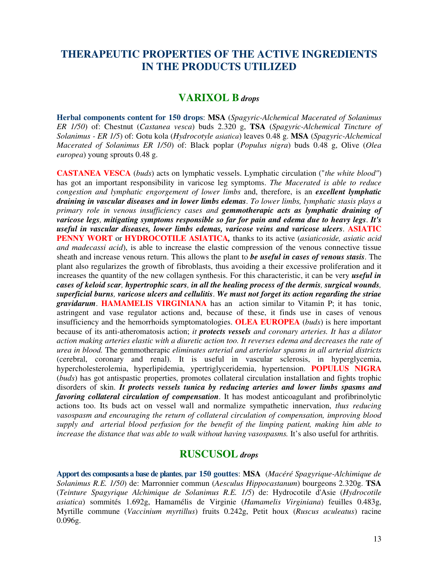## **THERAPEUTIC PROPERTIES OF THE ACTIVE INGREDIENTS IN THE PRODUCTS UTILIZED**

## **VARIXOL B** *drops*

**Herbal components content for 150 drops**: **MSA** (*Spagyric-Alchemical Macerated of Solanimus ER 1/50*) of: Chestnut (*Castanea vesca*) buds 2.320 g, **TSA** (*Spagyric-Alchemical Tincture of Solanimus - ER 1/5*) of: Gotu kola (*Hydrocotyle asiatica*) leaves 0.48 g. **MSA** (*Spagyric-Alchemical Macerated of Solanimus ER 1/50*) of: Black poplar (*Populus nigra*) buds 0.48 g, Olive (*Olea europea*) young sprouts 0.48 g.

**CASTANEA VESCA** (*buds*) acts on lymphatic vessels. Lymphatic circulation ("*the white blood"*) has got an important responsibility in varicose leg symptoms. *The Macerated is able to reduce congestion and lymphatic engorgement of lower limbs* and, therefore, is an *excellent lymphatic draining in vascular diseases and in lower limbs edemas*. *To lower limbs, lymphatic stasis plays a primary role in venous insufficiency cases and gemmotherapic acts as lymphatic draining of varicose legs, mitigating symptoms responsible so far for pain and edema due to heavy legs*. *It's useful in vascular diseases, lower limbs edemas, varicose veins and varicose ulcers*. **ASIATIC PENNY WORT** or **HYDROCOTILE ASIATICA***,* thanks to its active (*asiaticoside, asiatic acid and madecassi acid*), is able to increase the elastic compression of the venous connective tissue sheath and increase venous return. This allows the plant to *be useful in cases of venous stasis*. The plant also regularizes the growth of fibroblasts, thus avoiding a their excessive proliferation and it increases the quantity of the new collagen synthesis. For this characteristic, it can be very *useful in cases of keloid scar, hypertrophic scars, in all the healing process of the dermis, surgical wounds, superficial burns, varicose ulcers and cellulitis*. *We must not forget its action regarding the striae gravidarum*. **HAMAMELIS VIRGINIANA** has an action similar to Vitamin P; it has tonic, astringent and vase regulator actions and, because of these, it finds use in cases of venous insufficiency and the hemorrhoids symptomatologies. **OLEA EUROPEA** (*buds*) is here important because of its anti-atheromatosis action; *it protects vessels and coronary arteries. It has a dilator action making arteries elastic with a diuretic action too. It reverses edema and decreases the rate of urea in blood.* The gemmotherapic *eliminates arterial and arteriolar spasms in all arterial districts*  (cerebral, coronary and renal). It is useful in vascular sclerosis, in hyperglycemia, hypercholesterolemia, hyperlipidemia, ypertriglyceridemia, hypertension. **POPULUS NIGRA**  (*buds*) has got antispastic properties, promotes collateral circulation installation and fights trophic disorders of skin. *It protects vessels tunica by reducing arteries and lower limbs spasms and favoring collateral circulation of compensation*. It has modest anticoagulant and profibrinolytic actions too. Its buds act on vessel wall and normalize sympathetic innervation, *thus reducing vasospasm and encouraging the return of collateral circulation of compensation, improving blood supply and arterial blood perfusion for the benefit of the limping patient, making him able to increase the distance that was able to walk without having vasospasms.* It's also useful for arthritis.

### **RUSCUSOL** *drops*

**Apport des composants a base de plantes**, **par 150 gouttes**: **MSA** (*Macéré Spagyrique-Alchimique de Solanimus R.E. 1/50*) de: Marronnier commun (*Aesculus Hippocastanum*) bourgeons 2.320g. **TSA**  (*Teinture Spagyrique Alchimique de Solanimus R.E. 1/5*) de: Hydrocotile d'Asie (*Hydrocotile asiatica*) sommités 1.692g, Hamamélis de Virginie (*Hamamelis Virginiana*) feuilles 0.483g, Myrtille commune (*Vaccinium myrtillus*) fruits 0.242g, Petit houx (*Ruscus aculeatus*) racine 0.096g.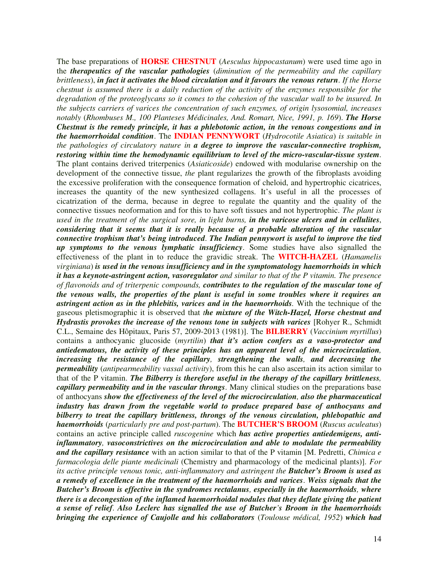The base preparations of **HORSE CHESTNUT** (*Aesculus hippocastanum*) were used time ago in the *therapeutics of the vascular pathologies* (*diminution of the permeability and the capillary brittleness*), *in fact it activates the blood circulation and it favours the venous return*. *If the Horse chestnut is assumed there is a daily reduction of the activity of the enzymes responsible for the degradation of the proteoglycans so it comes to the cohesion of the vascular wall to be insured. In the subjects carriers of varices the concentration of such enzymes, of origin lysosomial, increases notably* (*Rhombuses M., 100 Planteses Médicinales, And. Romart, Nice, 1991, p. 169*). *The Horse Chestnut is the remedy principle, it has a phlebotonic action, in the venous congestions and in the haemorrhoidal condition*. The **INDIAN PENNYWORT** (*Hydrocotile Asiatica*) *is suitable in the pathologies of circulatory nature in a degree to improve the vascular-connective trophism, restoring within time the hemodynamic equilibrium to level of the micro-vascular-tissue system*. The plant contains derived triterpenics (*Asiaticoside*) endowed with modularise ownership on the development of the connective tissue, *the* plant regularizes the growth of the fibroplasts avoiding the excessive proliferation with the consequence formation of cheloid, and hypertrophic cicatrices, increases the quantity of the new synthesized collagens. It's useful in all the processes of cicatrization of the derma, because in degree to regulate the quantity and the quality of the connective tissues neoformation and for this to have soft tissues and not hypertrophic. *The plant is used in the treatment of the surgical sore, in light burns, in the varicose ulcers and in cellulites*, *considering that it seems that it is really because of a probable alteration of the vascular connective trophism that's being introduced*. *The Indian pennywort is useful to improve the tied up symptoms to the venous lymphatic insufficiency*. Some studies have also signalled the effectiveness of the plant in to reduce the gravidic streak. The **WITCH-HAZEL** (*Hamamelis virginiana*) *is used in the venous insufficiency and in the symptomatology haemorrhoids in which it has a keynote-astringent action, vasoregulator and similar to that of the P vitamin. The presence of flavonoids and of triterpenic compounds, contributes to the regulation of the muscular tone of the venous walls, the properties of the plant is useful in some troubles where it requires an astringent action as in the phlebitis, varices and in the haemorrhoids.* With the technique of the gaseous pletismographic it is observed that *the mixture of the Witch-Hazel, Horse chestnut and Hydrastis provokes the increase of the venous tone in subjects with varices* [Rohyer R., Schmidt] C.L., Semaine des Hôpitaux, Paris 57, 2009-2013 (1981)]. The **BILBERRY** (*Vaccinium myrtillus*) contains a anthocyanic glucoside (*myrtilin*) *that it's action confers as a vaso-protector and antiedematous, the activity of these principles has an apparent level of the microcirculation, increasing the resistance of the capillary, strengthening the walls, and decreasing the permeability* (*antipearmeability vassal activity*), from this he can also ascertain its action similar to that of the P vitamin. *The Bilberry is therefore useful in the therapy of the capillary brittleness, capillary permeability and in the vascular throngs*. Many clinical studies on the preparations base of anthocyans *show the effectiveness of the level of the microcirculation, also the pharmaceutical industry has drawn from the vegetable world to produce prepared base of anthocyans and bilberry to treat the capillary brittleness, throngs of the venous circulation, phlebopathic and haemorrhoids* (*particularly pre and post-partum*). The **BUTCHER'S BROOM** (*Ruscus aculeatus*) contains an active principle called *ruscogenine* which *has active properties antiedemigens, antiinflammatory, vasoconstrictives on the microcirculation and able to modulate the permeability and the capillary resistance* with an action similar to that of the P vitamin [M. Pedretti, *Chimica e farmacologia delle piante medicinali* (Chemistry and pharmacology of the medicinal plants)]. *For its active principle venous tonic, anti-inflammatory and astringent the Butcher's Broom is used as a remedy of excellence in the treatment of the haemorrhoids and varices*. *Weiss signals that the Butcher's Broom is effective in the syndromes rectalanus, especially in the haemorrhoids, where there is a decongestion of the inflamed haemorrhoidal nodules that they deflate giving the patient a sense of relief*. *Also Leclerc has signalled the use of Butcher's Broom in the haemorrhoids bringing the experience of Caujolle and his collaborators* (*Toulouse médical, 1952*) *which had*